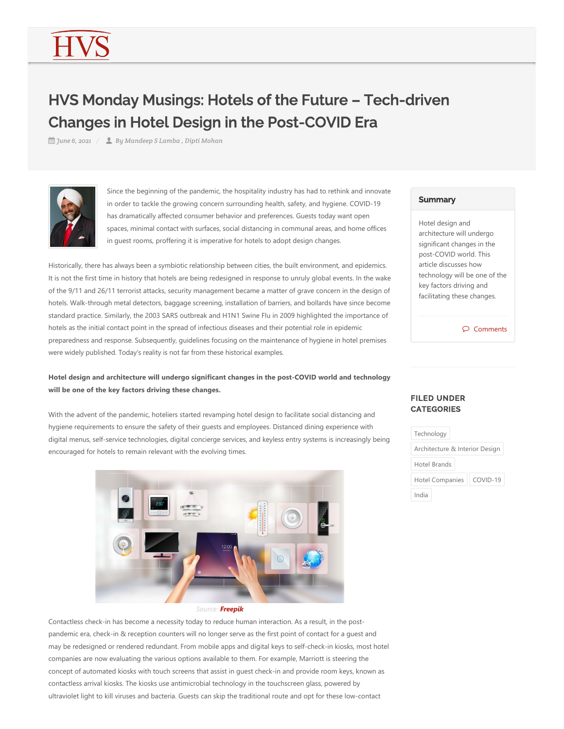# HVS Monday Musings: Hotels of the Future – Tech-driven Changes in Hotel Design in the Post-COVID Era

*June 6, 2021 By Mandeep S Lamba , Dipti Mohan*



Since the beginning of the pandemic, the hospitality industry has had to rethink and innovate in order to tackle the growing concern surrounding health, safety, and hygiene. COVID‐19 has dramatically affected consumer behavior and preferences. Guests today want open spaces, minimal contact with surfaces, social distancing in communal areas, and home offices in guest rooms, proffering it is imperative for hotels to adopt design changes.

Historically, there has always been a symbiotic relationship between cities, the built environment, and epidemics. It is not the first time in history that hotels are being redesigned in response to unruly global events. In the wake of the 9/11 and 26/11 terrorist attacks, security management became a matter of grave concern in the design of hotels. Walk‐through metal detectors, baggage screening, installation of barriers, and bollards have since become standard practice. Similarly, the 2003 SARS outbreak and H1N1 Swine Flu in 2009 highlighted the importance of hotels as the initial contact point in the spread of infectious diseases and their potential role in epidemic preparedness and response. Subsequently, guidelines focusing on the maintenance of hygiene in hotel premises were widely published. Today's reality is not far from these historical examples.

## **Hotel design and architecture will undergo significant changes in the post‐COVID world and technology will be one of the key factors driving these changes.**

With the advent of the pandemic, hoteliers started revamping hotel design to facilitate social distancing and hygiene requirements to ensure the safety of their guests and employees. Distanced dining experience with digital menus, self‐service technologies, digital concierge services, and keyless entry systems is increasingly being encouraged for hotels to remain relevant with the evolving times.



#### *Source: Freepik*

Contactless check‐in has become a necessity today to reduce human interaction. As a result, in the post‐ pandemic era, check‐in & reception counters will no longer serve as the first point of contact for a guest and may be redesigned or rendered redundant. From mobile apps and digital keys to self-check-in kiosks, most hotel companies are now evaluating the various options available to them. For example, Marriott is steering the concept of automated kiosks with touch screens that assist in guest check-in and provide room keys, known as contactless arrival kiosks. The kiosks use antimicrobial technology in the touchscreen glass, powered by ultraviolet light to kill viruses and bacteria. Guests can skip the traditional route and opt for these low‐contact

#### **Summary**

Hotel design and architecture will undergo significant changes in the post‐COVID world. This article discusses how technology will be one of the key factors driving and facilitating these changes.

Comments

### FILED UNDER **CATEGORIES**